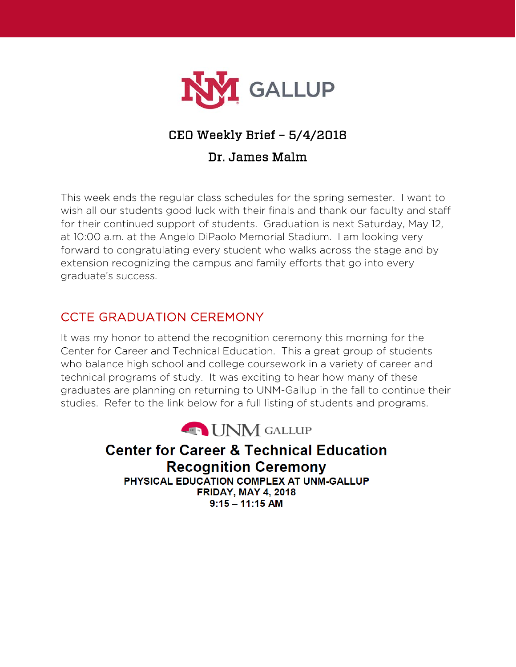

# CEO Weekly Brief – 5/4/2018

## Dr. James Malm

This week ends the regular class schedules for the spring semester. I want to wish all our students good luck with their finals and thank our faculty and staff for their continued support of students. Graduation is next Saturday, May 12, at 10:00 a.m. at the Angelo DiPaolo Memorial Stadium. I am looking very forward to congratulating every student who walks across the stage and by extension recognizing the campus and family efforts that go into every graduate's success.

# CCTE GRADUATION CEREMONY

It was my honor to attend the recognition ceremony this morning for the Center for Career and Technical Education. This a great group of students who balance high school and college coursework in a variety of career and technical programs of study. It was exciting to hear how many of these graduates are planning on returning to UNM-Gallup in the fall to continue their studies. Refer to the link below for a full listing of students and programs.



**Center for Career & Technical Education Recognition Ceremony** PHYSICAL EDUCATION COMPLEX AT UNM-GALLUP **FRIDAY, MAY 4, 2018**  $9:15 - 11:15$  AM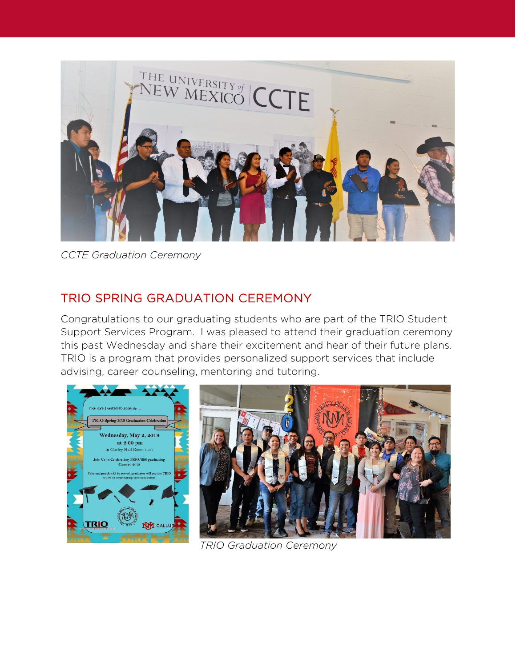

*CCTE Graduation Ceremony*

# TRIO SPRING GRADUATION CEREMONY

Congratulations to our graduating students who are part of the TRIO Student Support Services Program. I was pleased to attend their graduation ceremony this past Wednesday and share their excitement and hear of their future plans. TRIO is a program that provides personalized support services that include advising, career counseling, mentoring and tutoring.





*TRIO Graduation Ceremony*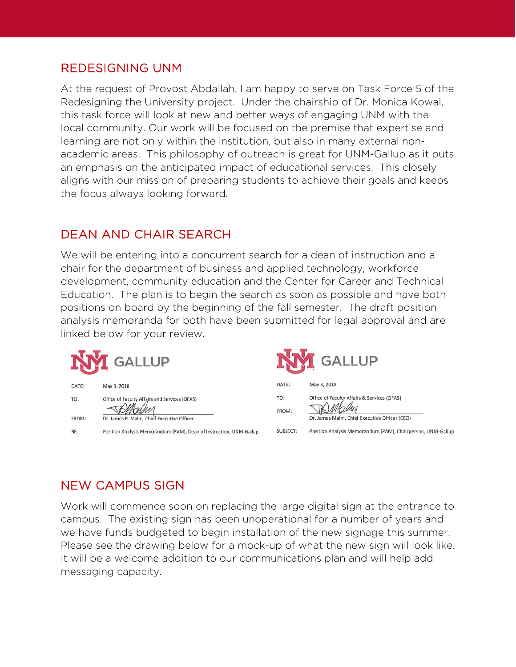#### REDESIGNING UNM

At the request of Provost Abdallah, I am happy to serve on Task Force 5 of the Redesigning the University project. Under the chairship of Dr. Monica Kowal, this task force will look at new and better ways of engaging UNM with the local community. Our work will be focused on the premise that expertise and learning are not only within the institution, but also in many external nonacademic areas. This philosophy of outreach is great for UNM-Gallup as it puts an emphasis on the anticipated impact of educational services. This closely aligns with our mission of preparing students to achieve their goals and keeps the focus always looking forward.

#### DEAN AND CHAIR SEARCH

We will be entering into a concurrent search for a dean of instruction and a chair for the department of business and applied technology, workforce development, community education and the Center for Career and Technical Education. The plan is to begin the search as soon as possible and have both positions on board by the beginning of the fall semester. The draft position analysis memoranda for both have been submitted for legal approval and are linked below for your review.

| <b>GALLUP</b> |                                                                                                                   | <b>GALLUP</b> |                                                                                              |
|---------------|-------------------------------------------------------------------------------------------------------------------|---------------|----------------------------------------------------------------------------------------------|
| DATE:         | May 3, 2018                                                                                                       | DATE:         | May 3, 2018                                                                                  |
| TO:<br>FROM:  | Office of Faculty Affairs and Services (OFAS)                                                                     | TO:<br>FROM:  | Office of Faculty Affairs & Services (OFAS)<br>Dr. James Malm, Chief Executive Officer (CEO) |
| RE:           | Dr. James R. Malm, Chief Executive Officer<br>Position Analysis Memorandum (PAM), Dean of Instruction, UNM-Gallup | SUBJECT:      | Position Analysis Memorandum (PAM), Chairperson, UNM-Gallup                                  |

# NEW CAMPUS SIGN

Work will commence soon on replacing the large digital sign at the entrance to campus. The existing sign has been unoperational for a number of years and we have funds budgeted to begin installation of the new signage this summer. Please see the drawing below for a mock-up of what the new sign will look like. It will be a welcome addition to our communications plan and will help add messaging capacity.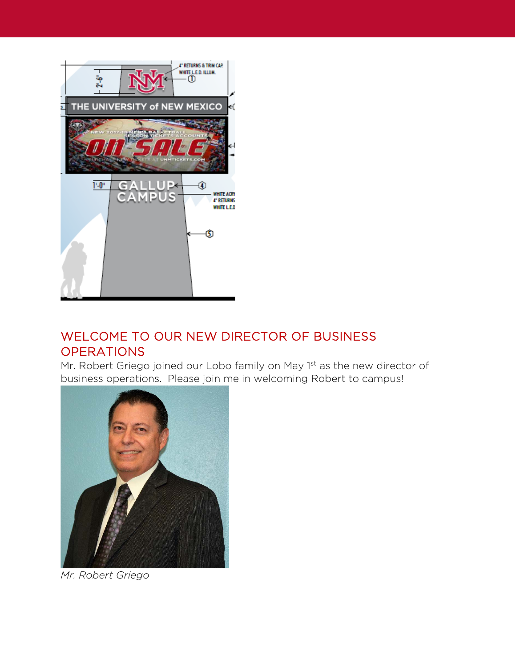

### WELCOME TO OUR NEW DIRECTOR OF BUSINESS **OPERATIONS**

Mr. Robert Griego joined our Lobo family on May 1st as the new director of business operations. Please join me in welcoming Robert to campus!



*Mr. Robert Griego*